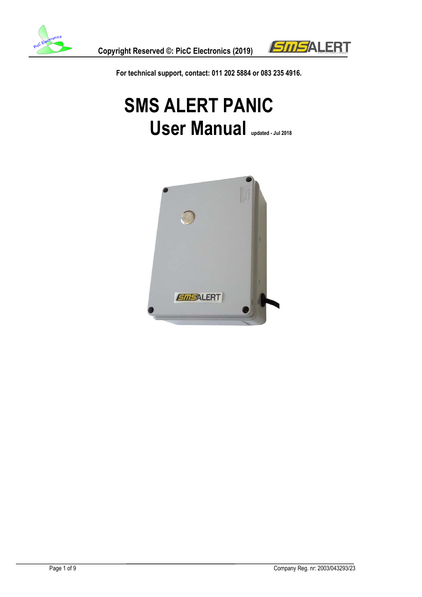



**For technical support, contact: 011 202 5884 or 083 235 4916.**

# **SMS ALERT PANIC User Manual updated - Jul 2018**

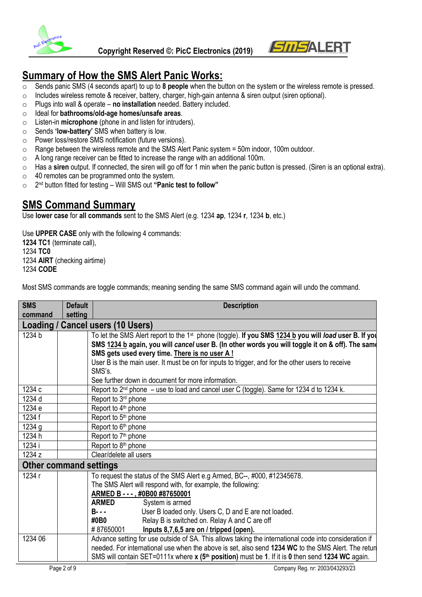

 **Copyright Reserved ©: PicC Electronics (2019)**



## **Summary of How the SMS Alert Panic Works:**

- o Sends panic SMS (4 seconds apart) to up to **8 people** when the button on the system or the wireless remote is pressed.
- o Includes wireless remote & receiver, battery, charger, high-gain antenna & siren output (siren optional).
- o Plugs into wall & operate **no installation** needed. Battery included.
- o Ideal for **bathrooms/old-age homes/unsafe areas**.
- o Listen-in **microphone** (phone in and listen for intruders).
- o Sends **'low-battery'** SMS when battery is low.
- o Power loss/restore SMS notification (future versions).
- $\circ$  Range between the wireless remote and the SMS Alert Panic system = 50m indoor, 100m outdoor.
- o A long range receiver can be fitted to increase the range with an additional 100m.
- o Has a **siren** output. If connected, the siren will go off for 1 min when the panic button is pressed. (Siren is an optional extra).
- o 40 remotes can be programmed onto the system.
- o 2 nd button fitted for testing Will SMS out **"Panic test to follow"**

### **SMS Command Summary**

Use **lower case** for **all commands** sent to the SMS Alert (e.g. 1234 **ap**, 1234 **r**, 1234 **b**, etc.)

Use **UPPER CASE** only with the following 4 commands: **1234 TC1** (terminate call), 1234 **TC0**  1234 **AIRT** (checking airtime) 1234 **CODE**

Most SMS commands are toggle commands; meaning sending the same SMS command again will undo the command.

| <b>SMS</b><br>command         | <b>Default</b><br>setting      | <b>Description</b>                                                                                                                                                                                                                                                     |  |
|-------------------------------|--------------------------------|------------------------------------------------------------------------------------------------------------------------------------------------------------------------------------------------------------------------------------------------------------------------|--|
| Loading /                     | <b>Cancel users (10 Users)</b> |                                                                                                                                                                                                                                                                        |  |
| 1234 b                        |                                | To let the SMS Alert report to the 1 <sup>st</sup> phone (toggle). If you SMS 1234 b you will load user B. If you<br>SMS 1234 b again, you will cancel user B. (In other words you will toggle it on & off). The same<br>SMS gets used every time. There is no user A! |  |
|                               |                                | User B is the main user. It must be on for inputs to trigger, and for the other users to receive<br>SMS's.                                                                                                                                                             |  |
|                               |                                | See further down in document for more information.                                                                                                                                                                                                                     |  |
| 1234 c                        |                                | Report to $2^{nd}$ phone $-$ use to load and cancel user C (toggle). Same for 1234 d to 1234 k.                                                                                                                                                                        |  |
| 1234 d                        |                                | Report to 3 <sup>rd</sup> phone                                                                                                                                                                                                                                        |  |
| 1234 e                        |                                | Report to 4 <sup>th</sup> phone                                                                                                                                                                                                                                        |  |
| 1234 f                        |                                | Report to 5 <sup>th</sup> phone                                                                                                                                                                                                                                        |  |
| 1234 g                        |                                | Report to 6 <sup>th</sup> phone                                                                                                                                                                                                                                        |  |
| 1234 h                        |                                | Report to 7 <sup>th</sup> phone                                                                                                                                                                                                                                        |  |
| 1234 i                        |                                | Report to 8 <sup>th</sup> phone                                                                                                                                                                                                                                        |  |
| 1234 z                        |                                | Clear/delete all users                                                                                                                                                                                                                                                 |  |
| <b>Other command settings</b> |                                |                                                                                                                                                                                                                                                                        |  |
| 1234 r                        |                                | To request the status of the SMS Alert e.g Armed, BC--, #000, #12345678.                                                                                                                                                                                               |  |
|                               |                                | The SMS Alert will respond with, for example, the following:                                                                                                                                                                                                           |  |
|                               |                                | ARMED B - - - , #0B00 #87650001                                                                                                                                                                                                                                        |  |
|                               |                                | <b>ARMED</b><br>System is armed                                                                                                                                                                                                                                        |  |
|                               |                                | <b>B</b> - - -<br>User B loaded only. Users C, D and E are not loaded.                                                                                                                                                                                                 |  |
|                               |                                | Relay B is switched on. Relay A and C are off<br>#0B0                                                                                                                                                                                                                  |  |
|                               |                                | #87650001<br>Inputs 8,7,6,5 are on / tripped (open).                                                                                                                                                                                                                   |  |
| 1234 06                       |                                | Advance setting for use outside of SA. This allows taking the international code into consideration if                                                                                                                                                                 |  |
|                               |                                | needed. For international use when the above is set, also send 1234 WC to the SMS Alert. The retur<br>SMS will contain SET=0111x where x (5 <sup>th</sup> position) must be 1. If it is 0 then send 1234 WC again.                                                     |  |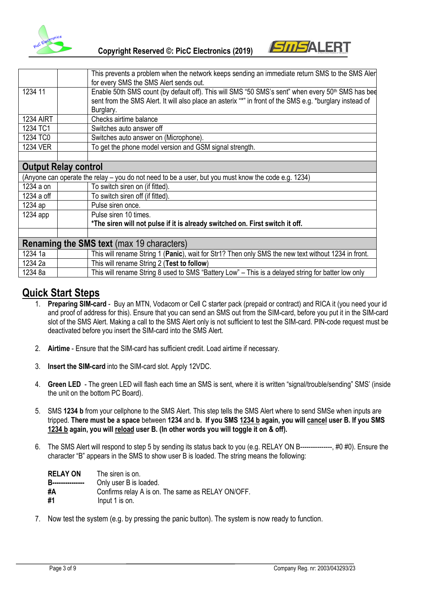

 **Copyright Reserved ©: PicC Electronics (2019)**



|                                                  | This prevents a problem when the network keeps sending an immediate return SMS to the SMS Aler                |  |
|--------------------------------------------------|---------------------------------------------------------------------------------------------------------------|--|
|                                                  | for every SMS the SMS Alert sends out.                                                                        |  |
| 1234 11                                          | Enable 50th SMS count (by default off). This will SMS "50 SMS's sent" when every 50 <sup>th</sup> SMS has bee |  |
|                                                  | sent from the SMS Alert. It will also place an asterix "*" in front of the SMS e.g. *burglary instead of      |  |
|                                                  | Burglary.                                                                                                     |  |
| <b>1234 AIRT</b>                                 | Checks airtime balance                                                                                        |  |
| 1234 TC1                                         | Switches auto answer off                                                                                      |  |
| 1234 TC0                                         | Switches auto answer on (Microphone).                                                                         |  |
| <b>1234 VER</b>                                  | To get the phone model version and GSM signal strength.                                                       |  |
|                                                  |                                                                                                               |  |
|                                                  | <b>Output Relay control</b>                                                                                   |  |
|                                                  | (Anyone can operate the relay - you do not need to be a user, but you must know the code e.g. 1234)           |  |
| 1234 a on                                        | To switch siren on (if fitted).                                                                               |  |
| 1234 a off                                       | To switch siren off (if fitted).                                                                              |  |
| 1234 ap                                          | Pulse siren once.                                                                                             |  |
| $1234$ app                                       | Pulse siren 10 times.                                                                                         |  |
|                                                  | *The siren will not pulse if it is already switched on. First switch it off.                                  |  |
|                                                  |                                                                                                               |  |
| <b>Renaming the SMS text (max 19 characters)</b> |                                                                                                               |  |
| 1234 1a                                          | This will rename String 1 (Panic), wait for Str1? Then only SMS the new text without 1234 in front.           |  |
| 1234 2a                                          | This will rename String 2 (Test to follow)                                                                    |  |
| 1234 8a                                          | This will rename String 8 used to SMS "Battery Low" – This is a delayed string for batter low only            |  |

# **Quick Start Steps**

- 1. **Preparing SIM-card** Buy an MTN, Vodacom or Cell C starter pack (prepaid or contract) and RICA it (you need your id and proof of address for this). Ensure that you can send an SMS out from the SIM-card, before you put it in the SIM-card slot of the SMS Alert. Making a call to the SMS Alert only is not sufficient to test the SIM-card. PIN-code request must be deactivated before you insert the SIM-card into the SMS Alert.
- 2. **Airtime** Ensure that the SIM-card has sufficient credit. Load airtime if necessary.
- 3. **Insert the SIM-card** into the SIM-card slot. Apply 12VDC.
- 4. **Green LED** The green LED will flash each time an SMS is sent, where it is written "signal/trouble/sending" SMS' (inside the unit on the bottom PC Board).
- 5. SMS **1234 b** from your cellphone to the SMS Alert. This step tells the SMS Alert where to send SMSe when inputs are tripped. **There must be a space** between **1234** and **b. If you SMS 1234 b again, you will cancel user B. If you SMS 1234 b again, you will reload user B. (In other words you will toggle it on & off).**
- 6. The SMS Alert will respond to step 5 by sending its status back to you (e.g. RELAY ON B---------------, #0 #0). Ensure the character "B" appears in the SMS to show user B is loaded. The string means the following:

| <b>RELAY ON</b>          | The siren is on.                                  |
|--------------------------|---------------------------------------------------|
| <b>B----------------</b> | Only user B is loaded.                            |
| #A                       | Confirms relay A is on. The same as RELAY ON/OFF. |
| #1                       | Input 1 is on.                                    |

7. Now test the system (e.g. by pressing the panic button). The system is now ready to function.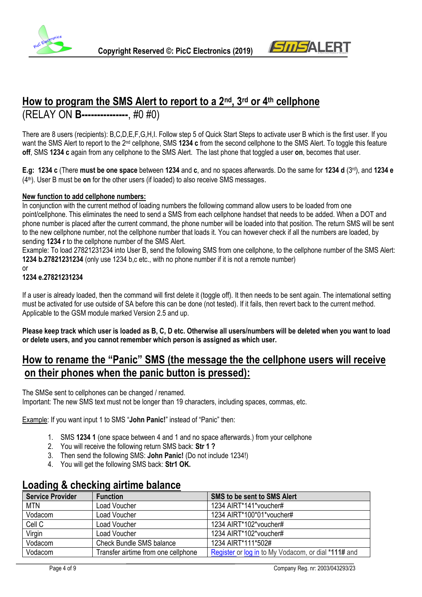



# **How to program the SMS Alert to report to a 2nd, 3rd or 4th cellphone** (RELAY ON **B---------------**, #0 #0)

There are 8 users (recipients): B,C,D,E,F,G,H,I. Follow step 5 of Quick Start Steps to activate user B which is the first user. If you want the SMS Alert to report to the 2nd cellphone, SMS **1234 c** from the second cellphone to the SMS Alert. To toggle this feature **off**, SMS **1234 c** again from any cellphone to the SMS Alert. The last phone that toggled a user **on**, becomes that user.

**E.g: 1234 c** (There **must be one space** between **1234** and **c**, and no spaces afterwards. Do the same for **1234 d** (3rd), and **1234 e**  (4th). User B must be **on** for the other users (if loaded) to also receive SMS messages.

#### **New function to add cellphone numbers:**

In conjunction with the current method of loading numbers the following command allow users to be loaded from one point/cellphone. This eliminates the need to send a SMS from each cellphone handset that needs to be added. When a DOT and phone number is placed after the current command, the phone number will be loaded into that position. The return SMS will be sent to the new cellphone number, not the cellphone number that loads it. You can however check if all the numbers are loaded, by sending **1234 r** to the cellphone number of the SMS Alert.

Example: To load 27821231234 into User B, send the following SMS from one cellphone, to the cellphone number of the SMS Alert: **1234 b.27821231234** (only use 1234 b,c etc., with no phone number if it is not a remote number)

#### or

#### **1234 e.27821231234**

If a user is already loaded, then the command will first delete it (toggle off). It then needs to be sent again. The international setting must be activated for use outside of SA before this can be done (not tested). If it fails, then revert back to the current method. Applicable to the GSM module marked Version 2.5 and up.

**Please keep track which user is loaded as B, C, D etc. Otherwise all users/numbers will be deleted when you want to load or delete users, and you cannot remember which person is assigned as which user.**

### **How to rename the "Panic" SMS (the message the the cellphone users will receive on their phones when the panic button is pressed):**

The SMSe sent to cellphones can be changed / renamed.

Important: The new SMS text must not be longer than 19 characters, including spaces, commas, etc.

Example: If you want input 1 to SMS "**John Panic!**" instead of "Panic" then:

- 1. SMS **1234 1** (one space between 4 and 1 and no space afterwards.) from your cellphone
- 2. You will receive the following return SMS back: **Str 1 ?**
- 3. Then send the following SMS: **John Panic!** (Do not include 1234!)
- 4. You will get the following SMS back: **Str1 OK.**

### **Loading & checking airtime balance**

| <b>Service Provider</b> | <b>Function</b>                     | <b>SMS to be sent to SMS Alert</b>                  |
|-------------------------|-------------------------------------|-----------------------------------------------------|
| <b>MTN</b>              | Load Voucher                        | 1234 AIRT*141*voucher#                              |
| Vodacom                 | Load Voucher                        | 1234 AIRT*100*01*voucher#                           |
| Cell C                  | Load Voucher                        | 1234 AIRT*102*voucher#                              |
| Virgin                  | Load Voucher                        | 1234 AIRT*102*voucher#                              |
| Vodacom                 | <b>Check Bundle SMS balance</b>     | 1234 AIRT*111*502#                                  |
| Vodacom                 | Transfer airtime from one cellphone | Register or log in to My Vodacom, or dial *111# and |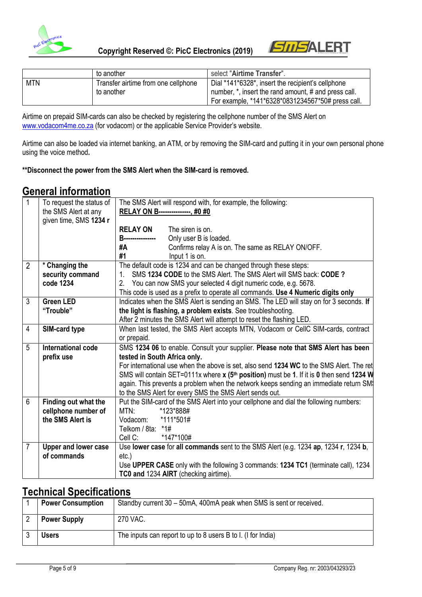



|            | to another                          | select "Airtime Transfer".                           |
|------------|-------------------------------------|------------------------------------------------------|
| <b>MTN</b> | Transfer airtime from one cellphone | Dial *141*6328*, insert the recipient's cellphone    |
|            | to another                          | number, *, insert the rand amount, # and press call. |
|            |                                     | For example, *141*6328*0831234567*50# press call.    |

Airtime on prepaid SIM-cards can also be checked by registering the cellphone number of the SMS Alert on [www.vodacom4me.co.za](http://www.vodacom4me.co.za/) (for vodacom) or the applicable Service Provider's website.

Airtime can also be loaded via internet banking, an ATM, or by removing the SIM-card and putting it in your own personal phone using the voice method**.** 

#### **\*\*Disconnect the power from the SMS Alert when the SIM-card is removed.**

### **General information**

| 1              | To request the status of    | The SMS Alert will respond with, for example, the following:                                         |
|----------------|-----------------------------|------------------------------------------------------------------------------------------------------|
|                | the SMS Alert at any        | RELAY ON B---------------, #0 #0                                                                     |
|                | given time, SMS 1234 r      |                                                                                                      |
|                |                             | <b>RELAY ON</b><br>The siren is on.                                                                  |
|                |                             | <b>B----------------</b><br>Only user B is loaded.                                                   |
|                |                             | Confirms relay A is on. The same as RELAY ON/OFF.<br>#A                                              |
|                |                             | #1<br>Input 1 is on.                                                                                 |
| $\overline{2}$ | * Changing the              | The default code is 1234 and can be changed through these steps:                                     |
|                | security command            | SMS 1234 CODE to the SMS Alert. The SMS Alert will SMS back: CODE ?<br>1.                            |
|                | code 1234                   | You can now SMS your selected 4 digit numeric code, e.g. 5678.<br>2.                                 |
|                |                             | This code is used as a prefix to operate all commands. Use 4 Numeric digits only                     |
| 3              | <b>Green LED</b>            | Indicates when the SMS Alert is sending an SMS. The LED will stay on for 3 seconds. If               |
|                | "Trouble"                   | the light is flashing, a problem exists. See troubleshooting.                                        |
|                |                             | After 2 minutes the SMS Alert will attempt to reset the flashing LED.                                |
| 4              | SIM-card type               | When last tested, the SMS Alert accepts MTN, Vodacom or CellC SIM-cards, contract                    |
|                |                             | or prepaid.                                                                                          |
| 5              | International code          | SMS 1234 06 to enable. Consult your supplier. Please note that SMS Alert has been                    |
|                | prefix use                  | tested in South Africa only.                                                                         |
|                |                             | For international use when the above is set, also send 1234 WC to the SMS Alert. The ret             |
|                |                             | SMS will contain SET=0111x where x (5 <sup>th</sup> position) must be 1. If it is 0 then send 1234 W |
|                |                             | again. This prevents a problem when the network keeps sending an immediate return SM                 |
|                |                             | to the SMS Alert for every SMS the SMS Alert sends out.                                              |
| 6              | Finding out what the        | Put the SIM-card of the SMS Alert into your cellphone and dial the following numbers:                |
|                | cellphone number of         | *123*888#<br>MTN:                                                                                    |
|                | the SMS Alert is            | *111*501#<br>Vodacom:                                                                                |
|                |                             | Telkom / 8ta: *1#                                                                                    |
|                |                             | Cell C:<br>*147*100#                                                                                 |
| 7              | <b>Upper and lower case</b> | Use lower case for all commands sent to the SMS Alert (e.g. 1234 ap, 1234 r, 1234 b,                 |
|                | of commands                 | $etc.$ )                                                                                             |
|                |                             | Use UPPER CASE only with the following 3 commands: 1234 TC1 (terminate call), 1234                   |
|                |                             | TC0 and 1234 AIRT (checking airtime).                                                                |

### **Technical Specifications**

| <b>Power Consumption</b> | Standby current 30 - 50mA, 400mA peak when SMS is sent or received. |
|--------------------------|---------------------------------------------------------------------|
| <b>Power Supply</b>      | 270 VAC.                                                            |
| Users                    | The inputs can report to up to 8 users B to I. (I for India)        |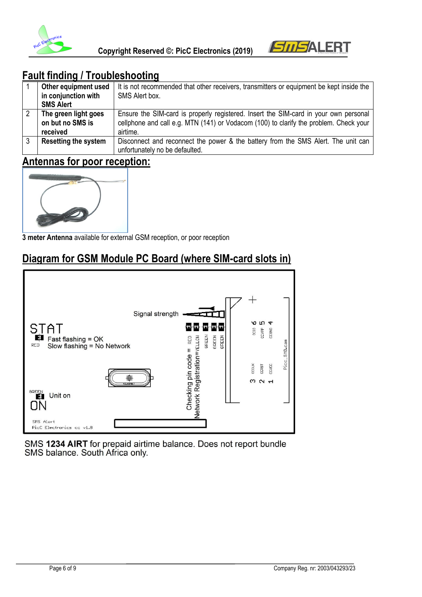



# **Fault finding / Troubleshooting**

|           | Other equipment used        | It is not recommended that other receivers, transmitters or equipment be kept inside the |
|-----------|-----------------------------|------------------------------------------------------------------------------------------|
|           | in conjunction with         | SMS Alert box.                                                                           |
|           | <b>SMS Alert</b>            |                                                                                          |
| $\cdot$ 2 | The green light goes        | Ensure the SIM-card is properly registered. Insert the SIM-card in your own personal     |
|           | on but no SMS is            | cellphone and call e.g. MTN (141) or Vodacom (100) to clarify the problem. Check your    |
|           | received                    | airtime.                                                                                 |
| 3         | <b>Resetting the system</b> | Disconnect and reconnect the power & the battery from the SMS Alert. The unit can        |
|           |                             | unfortunately no be defaulted.                                                           |

# **Antennas for poor reception:**



**3 meter Antenna** available for external GSM reception, or poor reception

# **Diagram for GSM Module PC Board (where SIM-card slots in)**



**SMS 1234 AIRT** for prepaid airtime balance. Does not report bundle SMS balance. South Africa only.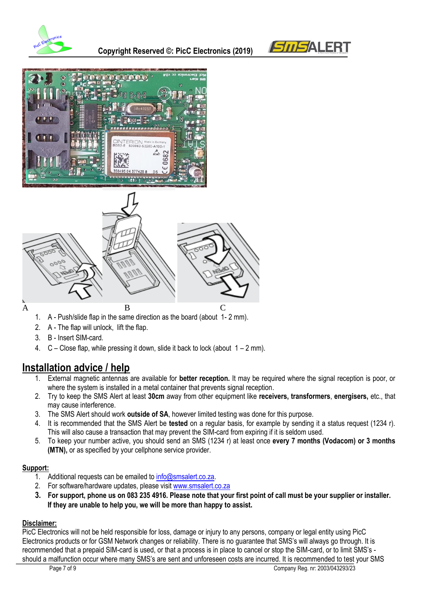







- 1. A Push/slide flap in the same direction as the board (about 1- 2 mm).
- 2. A The flap will unlock, lift the flap.
- 3. B Insert SIM-card.
- 4.  $C -$  Close flap, while pressing it down, slide it back to lock (about  $1 2$  mm).

# **Installation advice / help**

- 1. External magnetic antennas are available for **better reception.** It may be required where the signal reception is poor, or where the system is installed in a metal container that prevents signal reception.
- 2. Try to keep the SMS Alert at least **30cm** away from other equipment like **receivers, transformers**, **energisers,** etc., that may cause interference.
- 3. The SMS Alert should work **outside of SA**, however limited testing was done for this purpose.
- 4. It is recommended that the SMS Alert be **tested** on a regular basis, for example by sending it a status request (1234 r). This will also cause a transaction that may prevent the SIM-card from expiring if it is seldom used.
- 5. To keep your number active, you should send an SMS (1234 r) at least once **every 7 months (Vodacom) or 3 months (MTN),** or as specified by your cellphone service provider.

#### **Support:**

- 1. Additional requests can be emailed to [info@smsalert.co.za.](mailto:info@smsalert.co.za)
- 2. For software/hardware updates, please visi[t www.smsalert.co.za](http://www.smsalert.co.za/)
- **3. For support, phone us on 083 235 4916. Please note that your first point of call must be your supplier or installer. If they are unable to help you, we will be more than happy to assist.**

#### **Disclaimer:**

PicC Electronics will not be held responsible for loss, damage or injury to any persons, company or legal entity using PicC Electronics products or for GSM Network changes or reliability. There is no guarantee that SMS's will always go through. It is recommended that a prepaid SIM-card is used, or that a process is in place to cancel or stop the SIM-card, or to limit SMS's should a malfunction occur where many SMS's are sent and unforeseen costs are incurred. It is recommended to test your SMS